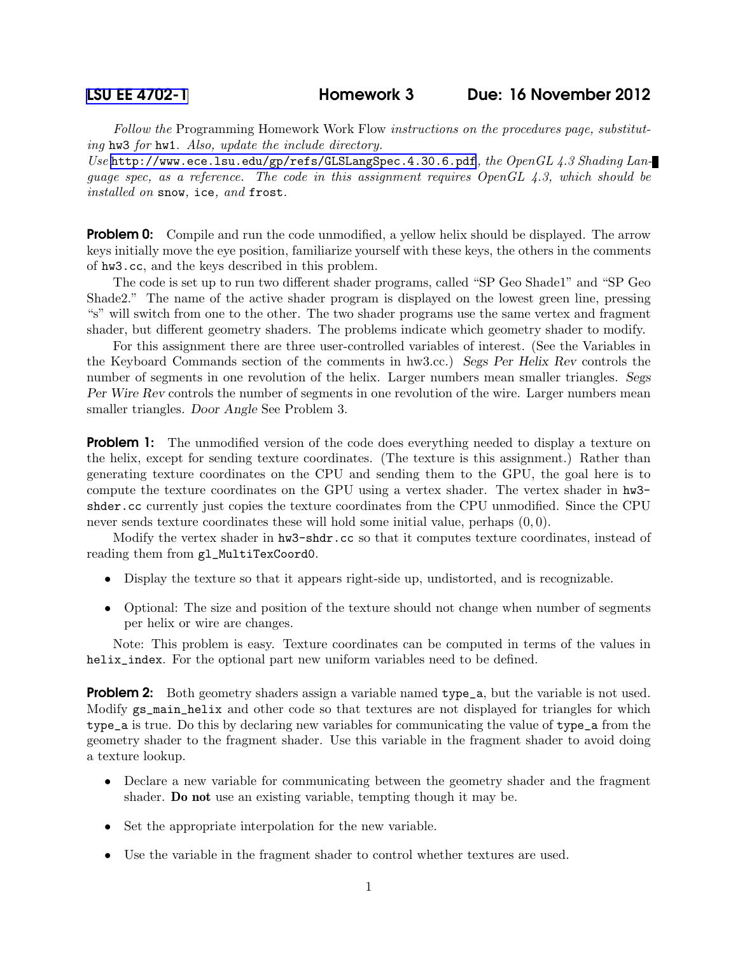Follow the Programming Homework Work Flow instructions on the procedures page, substituting hw3 for hw1. Also, update the include directory.

Use <http://www.ece.lsu.edu/gp/refs/GLSLangSpec.4.30.6.pdf>, the OpenGL 4.3 Shading Language spec, as a reference. The code in this assignment requires  $OpenGL 4.3$ , which should be installed on snow, ice, and frost.

**Problem 0:** Compile and run the code unmodified, a yellow helix should be displayed. The arrow keys initially move the eye position, familiarize yourself with these keys, the others in the comments of hw3.cc, and the keys described in this problem.

The code is set up to run two different shader programs, called "SP Geo Shade1" and "SP Geo Shade2." The name of the active shader program is displayed on the lowest green line, pressing "s" will switch from one to the other. The two shader programs use the same vertex and fragment shader, but different geometry shaders. The problems indicate which geometry shader to modify.

For this assignment there are three user-controlled variables of interest. (See the Variables in the Keyboard Commands section of the comments in hw3.cc.) Segs Per Helix Rev controls the number of segments in one revolution of the helix. Larger numbers mean smaller triangles. Segs Per Wire Rev controls the number of segments in one revolution of the wire. Larger numbers mean smaller triangles. Door Angle See Problem 3.

**Problem 1:** The unmodified version of the code does everything needed to display a texture on the helix, except for sending texture coordinates. (The texture is this assignment.) Rather than generating texture coordinates on the CPU and sending them to the GPU, the goal here is to compute the texture coordinates on the GPU using a vertex shader. The vertex shader in hw3 shder.cc currently just copies the texture coordinates from the CPU unmodified. Since the CPU never sends texture coordinates these will hold some initial value, perhaps  $(0, 0)$ .

Modify the vertex shader in hw3-shdr.cc so that it computes texture coordinates, instead of reading them from gl\_MultiTexCoord0.

- Display the texture so that it appears right-side up, undistorted, and is recognizable.
- Optional: The size and position of the texture should not change when number of segments per helix or wire are changes.

Note: This problem is easy. Texture coordinates can be computed in terms of the values in helix\_index. For the optional part new uniform variables need to be defined.

**Problem 2:** Both geometry shaders assign a variable named type<sub>ra</sub>, but the variable is not used. Modify gs\_main\_helix and other code so that textures are not displayed for triangles for which type\_a is true. Do this by declaring new variables for communicating the value of type\_a from the geometry shader to the fragment shader. Use this variable in the fragment shader to avoid doing a texture lookup.

- Declare a new variable for communicating between the geometry shader and the fragment shader. Do not use an existing variable, tempting though it may be.
- Set the appropriate interpolation for the new variable.
- Use the variable in the fragment shader to control whether textures are used.